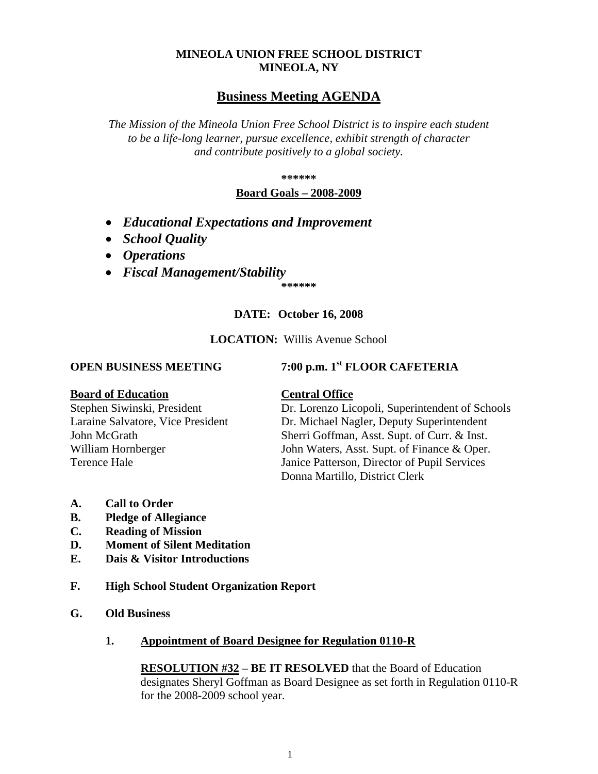# **MINEOLA UNION FREE SCHOOL DISTRICT MINEOLA, NY**

# **Business Meeting AGENDA**

*The Mission of the Mineola Union Free School District is to inspire each student to be a life-long learner, pursue excellence, exhibit strength of character and contribute positively to a global society.*

**\*\*\*\*\*\***

## **Board Goals – 2008-2009**

- *Educational Expectations and Improvement*
- *School Quality*
- *Operations*
- *Fiscal Management/Stability*

**\*\*\*\*\*\***

# **DATE: October 16, 2008**

## **LOCATION:** Willis Avenue School

# **OPEN BUSINESS MEETING 7:00 p.m. 1st FLOOR CAFETERIA**

## **Board of Education Central Office**

Stephen Siwinski, President Dr. Lorenzo Licopoli, Superintendent of Schools Laraine Salvatore, Vice President Dr. Michael Nagler, Deputy Superintendent John McGrath Sherri Goffman, Asst. Supt. of Curr. & Inst. William Hornberger John Waters, Asst. Supt. of Finance & Oper. Terence Hale Janice Patterson, Director of Pupil Services Donna Martillo, District Clerk

- **A. Call to Order**
- **B. Pledge of Allegiance**
- **C. Reading of Mission**
- **D. Moment of Silent Meditation**
- **E. Dais & Visitor Introductions**
- **F. High School Student Organization Report**
- **G. Old Business**
	- **1. Appointment of Board Designee for Regulation 0110-R**

**RESOLUTION #32 – BE IT RESOLVED** that the Board of Education designates Sheryl Goffman as Board Designee as set forth in Regulation 0110-R for the 2008-2009 school year.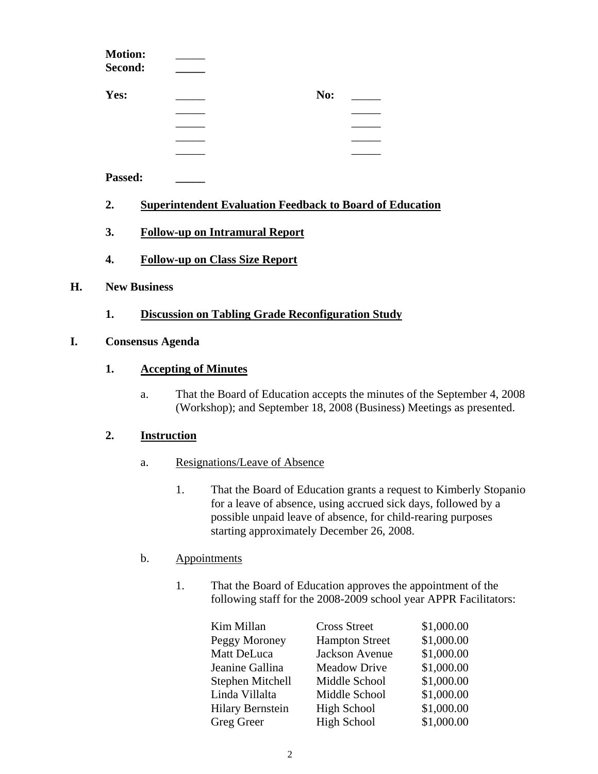|    | <b>Motion:</b><br>Second: |                                                                 |     |  |
|----|---------------------------|-----------------------------------------------------------------|-----|--|
|    | Yes:                      |                                                                 | No: |  |
|    |                           |                                                                 |     |  |
|    |                           |                                                                 |     |  |
|    |                           |                                                                 |     |  |
|    |                           |                                                                 |     |  |
|    | Passed:                   |                                                                 |     |  |
|    | 2.                        | <b>Superintendent Evaluation Feedback to Board of Education</b> |     |  |
|    | 3.                        | <b>Follow-up on Intramural Report</b>                           |     |  |
|    | 4.                        | <b>Follow-up on Class Size Report</b>                           |     |  |
| Н. | <b>New Business</b>       |                                                                 |     |  |
|    |                           |                                                                 |     |  |

**1. Discussion on Tabling Grade Reconfiguration Study**

## **I. Consensus Agenda**

## **1. Accepting of Minutes**

a. That the Board of Education accepts the minutes of the September 4, 2008 (Workshop); and September 18, 2008 (Business) Meetings as presented.

## **2. Instruction**

- a. Resignations/Leave of Absence
	- 1. That the Board of Education grants a request to Kimberly Stopanio for a leave of absence, using accrued sick days, followed by a possible unpaid leave of absence, for child-rearing purposes starting approximately December 26, 2008.

# b. Appointments

1. That the Board of Education approves the appointment of the following staff for the 2008-2009 school year APPR Facilitators:

| Kim Millan              | <b>Cross Street</b>   | \$1,000.00 |
|-------------------------|-----------------------|------------|
| Peggy Moroney           | <b>Hampton Street</b> | \$1,000.00 |
| Matt DeLuca             | Jackson Avenue        | \$1,000.00 |
| Jeanine Gallina         | <b>Meadow Drive</b>   | \$1,000.00 |
| Stephen Mitchell        | Middle School         | \$1,000.00 |
| Linda Villalta          | Middle School         | \$1,000.00 |
| <b>Hilary Bernstein</b> | <b>High School</b>    | \$1,000.00 |
| Greg Greer              | <b>High School</b>    | \$1,000.00 |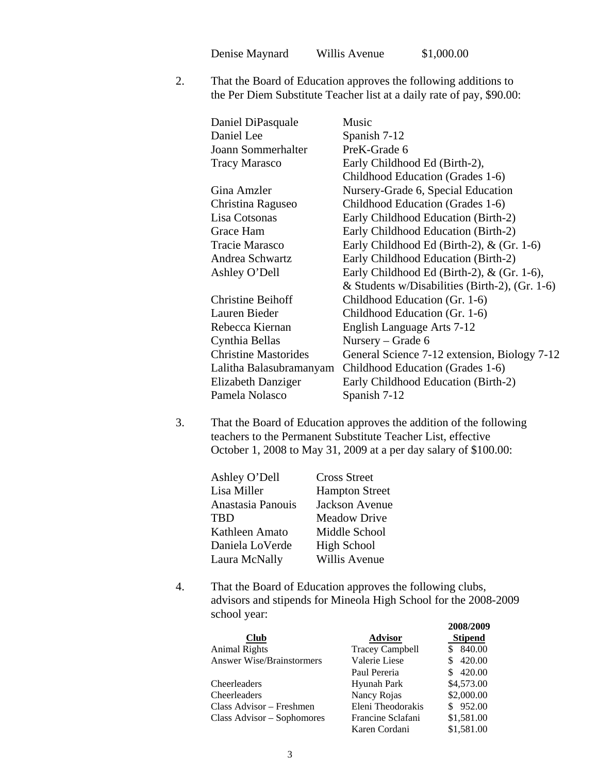Denise Maynard Willis Avenue \$1,000.00

2. That the Board of Education approves the following additions to the Per Diem Substitute Teacher list at a daily rate of pay, \$90.00:

| Daniel DiPasquale           | Music                                          |
|-----------------------------|------------------------------------------------|
| Daniel Lee                  | Spanish 7-12                                   |
| Joann Sommerhalter          | PreK-Grade 6                                   |
| <b>Tracy Marasco</b>        | Early Childhood Ed (Birth-2),                  |
|                             | Childhood Education (Grades 1-6)               |
| Gina Amzler                 | Nursery-Grade 6, Special Education             |
| Christina Raguseo           | Childhood Education (Grades 1-6)               |
| Lisa Cotsonas               | Early Childhood Education (Birth-2)            |
| Grace Ham                   | Early Childhood Education (Birth-2)            |
| Tracie Marasco              | Early Childhood Ed (Birth-2), $&$ (Gr. 1-6)    |
| Andrea Schwartz             | Early Childhood Education (Birth-2)            |
| Ashley O'Dell               | Early Childhood Ed (Birth-2), $&$ (Gr. 1-6),   |
|                             | & Students w/Disabilities (Birth-2), (Gr. 1-6) |
| <b>Christine Beihoff</b>    | Childhood Education (Gr. 1-6)                  |
| Lauren Bieder               | Childhood Education (Gr. 1-6)                  |
| Rebecca Kiernan             | English Language Arts 7-12                     |
| Cynthia Bellas              | Nursery – Grade $6$                            |
| <b>Christine Mastorides</b> | General Science 7-12 extension, Biology 7-12   |
| Lalitha Balasubramanyam     | Childhood Education (Grades 1-6)               |
| Elizabeth Danziger          | Early Childhood Education (Birth-2)            |
| Pamela Nolasco              | Spanish 7-12                                   |
|                             |                                                |

3. That the Board of Education approves the addition of the following teachers to the Permanent Substitute Teacher List, effective October 1, 2008 to May 31, 2009 at a per day salary of \$100.00:

| Ashley O'Dell     | <b>Cross Street</b>   |
|-------------------|-----------------------|
| Lisa Miller       | <b>Hampton Street</b> |
| Anastasia Panouis | Jackson Avenue        |
| <b>TBD</b>        | <b>Meadow Drive</b>   |
| Kathleen Amato    | Middle School         |
| Daniela LoVerde   | <b>High School</b>    |
| Laura McNally     | Willis Avenue         |

4. That the Board of Education approves the following clubs, advisors and stipends for Mineola High School for the 2008-2009 school year: **2008/2009**

|                                  |                        | ZVVOLZVVZ      |
|----------------------------------|------------------------|----------------|
| <b>Club</b>                      | <b>Advisor</b>         | <b>Stipend</b> |
| <b>Animal Rights</b>             | <b>Tracey Campbell</b> | 840.00         |
| <b>Answer Wise/Brainstormers</b> | Valerie Liese          | 420.00         |
|                                  | Paul Pereria           | 420.00         |
| Cheerleaders                     | Hyunah Park            | \$4,573.00     |
| Cheerleaders                     | Nancy Rojas            | \$2,000.00     |
| Class Advisor – Freshmen         | Eleni Theodorakis      | \$952.00       |
| Class Advisor – Sophomores       | Francine Sclafani      | \$1,581.00     |
|                                  | Karen Cordani          | \$1,581.00     |
|                                  |                        |                |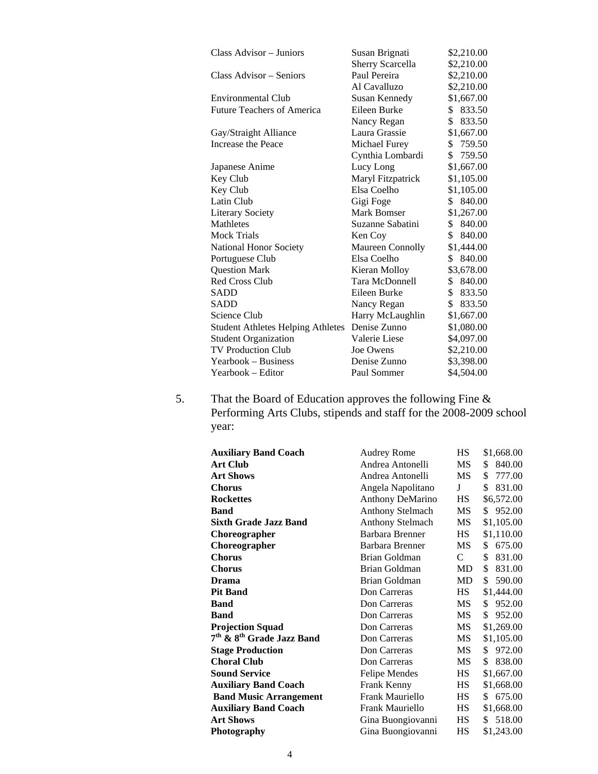| Class Advisor - Juniors                  | Susan Brignati          | \$2,210.00   |
|------------------------------------------|-------------------------|--------------|
|                                          | <b>Sherry Scarcella</b> | \$2,210.00   |
| Class Advisor – Seniors                  | Paul Pereira            | \$2,210.00   |
|                                          | Al Cavalluzo            | \$2,210.00   |
| Environmental Club                       | Susan Kennedy           | \$1,667.00   |
| <b>Future Teachers of America</b>        | Eileen Burke            | \$<br>833.50 |
|                                          | Nancy Regan             | \$<br>833.50 |
| Gay/Straight Alliance                    | Laura Grassie           | \$1,667.00   |
| Increase the Peace                       | Michael Furey           | \$759.50     |
|                                          | Cynthia Lombardi        | \$<br>759.50 |
| Japanese Anime                           | Lucy Long               | \$1,667.00   |
| Key Club                                 | Maryl Fitzpatrick       | \$1,105.00   |
| Key Club                                 | Elsa Coelho             | \$1,105.00   |
| Latin Club                               | Gigi Foge               | \$ 840.00    |
| <b>Literary Society</b>                  | Mark Bomser             | \$1,267.00   |
| Mathletes                                | Suzanne Sabatini        | \$ 840.00    |
| <b>Mock Trials</b>                       | Ken Coy                 | 840.00<br>\$ |
| National Honor Society                   | Maureen Connolly        | \$1,444.00   |
| Portuguese Club                          | Elsa Coelho             | 840.00<br>\$ |
| <b>Question Mark</b>                     | Kieran Molloy           | \$3,678.00   |
| <b>Red Cross Club</b>                    | Tara McDonnell          | \$840.00     |
| SADD                                     | Eileen Burke            | \$ 833.50    |
| SADD                                     | Nancy Regan             | 833.50<br>\$ |
| Science Club                             | Harry McLaughlin        | \$1,667.00   |
| <b>Student Athletes Helping Athletes</b> | Denise Zunno            | \$1,080.00   |
| <b>Student Organization</b>              | Valerie Liese           | \$4,097.00   |
| <b>TV Production Club</b>                | Joe Owens               | \$2,210.00   |
| Yearbook – Business                      | Denise Zunno            | \$3,398.00   |
| Yearbook - Editor                        | Paul Sommer             | \$4,504.00   |

5. That the Board of Education approves the following Fine & Performing Arts Clubs, stipends and staff for the 2008-2009 school year:

| <b>Auxiliary Band Coach</b>                       | <b>Audrey Rome</b>      | HS            | \$1,668.00    |
|---------------------------------------------------|-------------------------|---------------|---------------|
| <b>Art Club</b>                                   | Andrea Antonelli        | MS            | 840.00<br>\$  |
| <b>Art Shows</b>                                  | Andrea Antonelli        | <b>MS</b>     | 777.00<br>\$  |
| <b>Chorus</b>                                     | Angela Napolitano       | J             | 831.00<br>\$  |
| <b>Rockettes</b>                                  | Anthony DeMarino        | HS            | \$6,572.00    |
| Band                                              | <b>Anthony Stelmach</b> | MS            | 952.00<br>\$  |
| Sixth Grade Jazz Band                             | <b>Anthony Stelmach</b> | MS            | \$1,105.00    |
| Choreographer                                     | Barbara Brenner         | HS.           | \$1,110.00    |
| Choreographer                                     | Barbara Brenner         | MS            | \$<br>675.00  |
| <b>Chorus</b>                                     | Brian Goldman           | $\mathcal{C}$ | 831.00<br>\$  |
| <b>Chorus</b>                                     | Brian Goldman           | MD            | 831.00<br>\$  |
| Drama                                             | Brian Goldman           | MD            | \$<br>590.00  |
| <b>Pit Band</b>                                   | Don Carreras            | HS.           | \$1,444.00    |
| Band                                              | Don Carreras            | MS            | 952.00<br>\$  |
| Band                                              | Don Carreras            | MS.           | \$.<br>952.00 |
| <b>Projection Squad</b>                           | Don Carreras            | MS            | \$1,269.00    |
| 7 <sup>th</sup> & 8 <sup>th</sup> Grade Jazz Band | Don Carreras            | MS            | \$1,105.00    |
| <b>Stage Production</b>                           | Don Carreras            | MS            | 972.00<br>\$  |
| <b>Choral Club</b>                                | Don Carreras            | МS            | \$<br>838.00  |
| <b>Sound Service</b>                              | Felipe Mendes           | HS            | \$1,667.00    |
| <b>Auxiliary Band Coach</b>                       | Frank Kenny             | HS            | \$1,668.00    |
| <b>Band Music Arrangement</b>                     | Frank Mauriello         | <b>HS</b>     | 675.00<br>\$  |
| <b>Auxiliary Band Coach</b>                       | Frank Mauriello         | HS            | \$1,668.00    |
| <b>Art Shows</b>                                  | Gina Buongiovanni       | <b>HS</b>     | 518.00<br>\$. |
| Photography                                       | Gina Buongiovanni       | HS            | \$1,243.00    |
|                                                   |                         |               |               |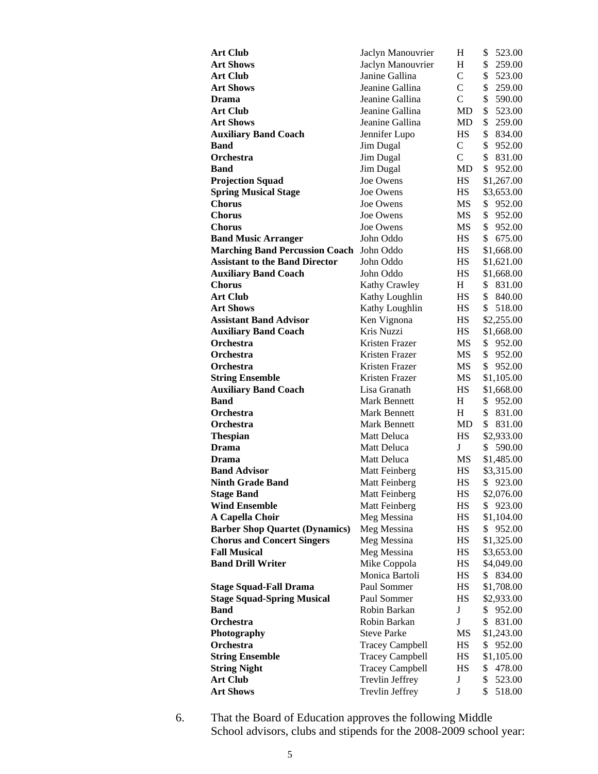| <b>Art Club</b>                       | Jaclyn Manouvrier      | Н             | \$<br>523.00             |
|---------------------------------------|------------------------|---------------|--------------------------|
| <b>Art Shows</b>                      | Jaclyn Manouvrier      | H             | \$<br>259.00             |
| <b>Art Club</b>                       | Janine Gallina         | $\mathbf C$   | \$<br>523.00             |
| <b>Art Shows</b>                      | Jeanine Gallina        | $\mathcal{C}$ | \$<br>259.00             |
| <b>Drama</b>                          | Jeanine Gallina        | $\mathcal{C}$ | \$<br>590.00             |
| <b>Art Club</b>                       | Jeanine Gallina        | MD            | \$<br>523.00             |
| <b>Art Shows</b>                      | Jeanine Gallina        | MD            | \$<br>259.00             |
| <b>Auxiliary Band Coach</b>           | Jennifer Lupo          | НS            | \$<br>834.00             |
| Band                                  | Jim Dugal              | $\mathbf C$   | \$<br>952.00             |
| <b>Orchestra</b>                      | Jim Dugal              | $\mathsf{C}$  | \$<br>831.00             |
| <b>Band</b>                           | Jim Dugal              | MD            | \$<br>952.00             |
| <b>Projection Squad</b>               | Joe Owens              | НS            | \$1,267.00               |
| <b>Spring Musical Stage</b>           | Joe Owens              | HS            | \$3,653.00               |
| <b>Chorus</b>                         | Joe Owens              | MS            | \$<br>952.00             |
| Chorus                                | Joe Owens              | MS            | \$<br>952.00             |
| <b>Chorus</b>                         | Joe Owens              | MS            | \$<br>952.00             |
| <b>Band Music Arranger</b>            | John Oddo              | HS            | \$<br>675.00             |
| <b>Marching Band Percussion Coach</b> | John Oddo              | HS            | \$1,668.00               |
| <b>Assistant to the Band Director</b> | John Oddo              | <b>HS</b>     | \$1,621.00               |
| <b>Auxiliary Band Coach</b>           | John Oddo              | HS            | \$1,668.00               |
| <b>Chorus</b>                         | <b>Kathy Crawley</b>   | H             | \$<br>831.00             |
| <b>Art Club</b>                       | Kathy Loughlin         | HS            | \$<br>840.00             |
| <b>Art Shows</b>                      | Kathy Loughlin         | HS            | S.<br>518.00             |
| <b>Assistant Band Advisor</b>         | Ken Vignona            | <b>HS</b>     | \$2,255.00               |
| <b>Auxiliary Band Coach</b>           | Kris Nuzzi             | <b>HS</b>     | \$1,668.00               |
| <b>Orchestra</b>                      | Kristen Frazer         | MS            | \$<br>952.00             |
| Orchestra                             | Kristen Frazer         | MS            | $\mathbb{S}^-$<br>952.00 |
| Orchestra                             | Kristen Frazer         | MS            | S.<br>952.00             |
| <b>String Ensemble</b>                | Kristen Frazer         | MS            | \$1,105.00               |
| <b>Auxiliary Band Coach</b>           | Lisa Granath           | HS            | \$1,668.00               |
| <b>Band</b>                           | <b>Mark Bennett</b>    | Н             | \$<br>952.00             |
| <b>Orchestra</b>                      | <b>Mark Bennett</b>    | H             | \$<br>831.00             |
| Orchestra                             | <b>Mark Bennett</b>    | MD.           | \$<br>831.00             |
| <b>Thespian</b>                       | Matt Deluca            | HS            | \$2,933.00               |
| Drama                                 | Matt Deluca            | J             | 590.00<br>\$             |
| Drama                                 | <b>Matt Deluca</b>     | MS            | \$1,485.00               |
| <b>Band Advisor</b>                   | Matt Feinberg          | HS            | \$3,315.00               |
| <b>Ninth Grade Band</b>               | Matt Feinberg          | HS            | \$923.00                 |
| <b>Stage Band</b>                     | Matt Feinberg          | HS            | \$2,076.00               |
| <b>Wind Ensemble</b>                  | Matt Feinberg          | HS            | \$923.00                 |
| A Capella Choir                       | Meg Messina            | HS            | \$1,104.00               |
| <b>Barber Shop Quartet (Dynamics)</b> | Meg Messina            | HS            | 952.00<br>\$             |
| <b>Chorus and Concert Singers</b>     | Meg Messina            | HS            | \$1,325.00               |
| <b>Fall Musical</b>                   | Meg Messina            | HS            | \$3,653.00               |
| <b>Band Drill Writer</b>              | Mike Coppola           | HS            | \$4,049.00               |
|                                       | Monica Bartoli         | HS            | \$ 834.00                |
| <b>Stage Squad-Fall Drama</b>         | Paul Sommer            | HS            | \$1,708.00               |
| <b>Stage Squad-Spring Musical</b>     | Paul Sommer            | HS            | \$2,933.00               |
| <b>Band</b>                           | Robin Barkan           | $\bf J$       | \$<br>952.00             |
| Orchestra                             | Robin Barkan           | $\mathbf{J}$  | \$<br>831.00             |
| Photography                           | <b>Steve Parke</b>     | MS            | \$1,243.00               |
| Orchestra                             | <b>Tracey Campbell</b> | HS            | 952.00<br>\$             |
| <b>String Ensemble</b>                | <b>Tracey Campbell</b> | HS            | \$1,105.00               |
| <b>String Night</b>                   | <b>Tracey Campbell</b> | HS            | \$<br>478.00             |
| <b>Art Club</b>                       | Trevlin Jeffrey        | J             | \$<br>523.00             |
| <b>Art Shows</b>                      | Trevlin Jeffrey        | J             | \$<br>518.00             |

6. That the Board of Education approves the following Middle School advisors, clubs and stipends for the 2008-2009 school year: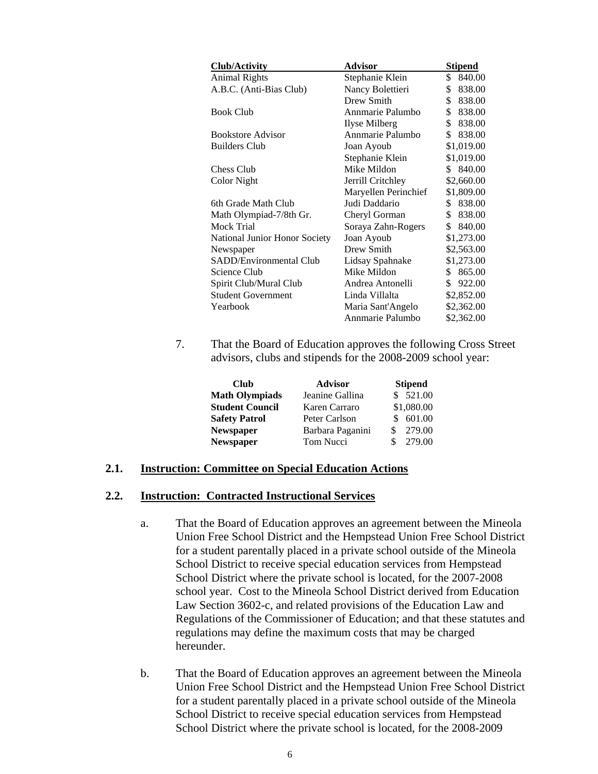| Club/Activity                 | Advisor              | <b>Stipend</b> |
|-------------------------------|----------------------|----------------|
| <b>Animal Rights</b>          | Stephanie Klein      | \$<br>840.00   |
| A.B.C. (Anti-Bias Club)       | Nancy Bolettieri     | \$<br>838.00   |
|                               | Drew Smith           | \$<br>838.00   |
| <b>Book Club</b>              | Annmarie Palumbo     | \$<br>838.00   |
|                               | Ilyse Milberg        | \$<br>838.00   |
| <b>Bookstore Advisor</b>      | Annmarie Palumbo     | \$<br>838.00   |
| <b>Builders Club</b>          | Joan Ayoub           | \$1,019.00     |
|                               | Stephanie Klein      | \$1,019.00     |
| Chess Club                    | Mike Mildon          | 840.00<br>\$   |
| Color Night                   | Jerrill Critchley    | \$2,660.00     |
|                               | Maryellen Perinchief | \$1,809.00     |
| 6th Grade Math Club           | Judi Daddario        | 838.00<br>\$.  |
| Math Olympiad-7/8th Gr.       | Cheryl Gorman        | \$<br>838.00   |
| Mock Trial                    | Soraya Zahn-Rogers   | \$<br>840.00   |
| National Junior Honor Society | Joan Ayoub           | \$1,273.00     |
| Newspaper                     | Drew Smith           | \$2,563.00     |
| SADD/Environmental Club       | Lidsay Spahnake      | \$1,273.00     |
| Science Club                  | Mike Mildon          | 865.00<br>\$   |
| Spirit Club/Mural Club        | Andrea Antonelli     | 922.00<br>\$   |
| <b>Student Government</b>     | Linda Villalta       | \$2,852.00     |
| Yearbook                      | Maria Sant'Angelo    | \$2,362.00     |
|                               | Annmarie Palumbo     | \$2,362.00     |

7. That the Board of Education approves the following Cross Street advisors, clubs and stipends for the 2008-2009 school year:

| <b>Club</b>            | <b>Advisor</b>   | <b>Stipend</b> |
|------------------------|------------------|----------------|
| <b>Math Olympiads</b>  | Jeanine Gallina  | \$521.00       |
| <b>Student Council</b> | Karen Carraro    | \$1,080.00     |
| <b>Safety Patrol</b>   | Peter Carlson    | 601.00         |
| <b>Newspaper</b>       | Barbara Paganini | 279.00         |
| <b>Newspaper</b>       | Tom Nucci        | 279.00<br>S    |

### **2.1. Instruction: Committee on Special Education Actions**

### **2.2. Instruction: Contracted Instructional Services**

- a. That the Board of Education approves an agreement between the Mineola Union Free School District and the Hempstead Union Free School District for a student parentally placed in a private school outside of the Mineola School District to receive special education services from Hempstead School District where the private school is located, for the 2007-2008 school year. Cost to the Mineola School District derived from Education Law Section 3602-c, and related provisions of the Education Law and Regulations of the Commissioner of Education; and that these statutes and regulations may define the maximum costs that may be charged hereunder.
- b. That the Board of Education approves an agreement between the Mineola Union Free School District and the Hempstead Union Free School District for a student parentally placed in a private school outside of the Mineola School District to receive special education services from Hempstead School District where the private school is located, for the 2008-2009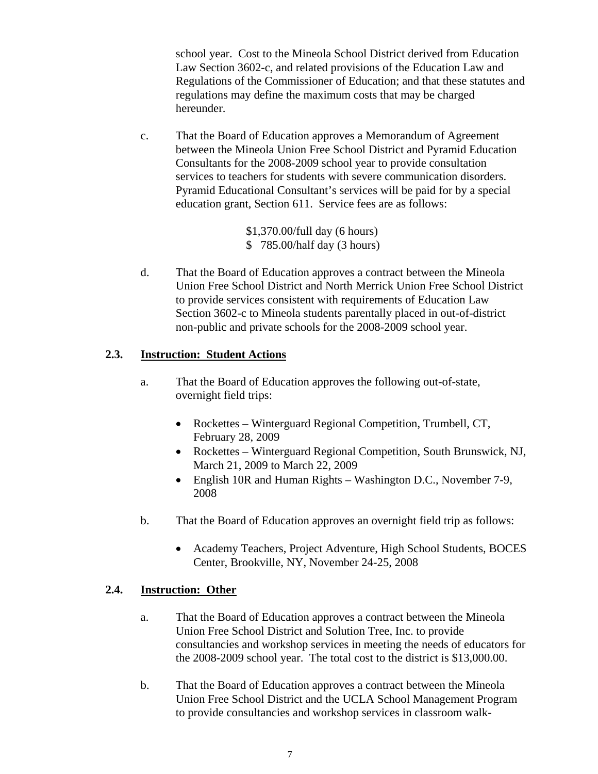school year. Cost to the Mineola School District derived from Education Law Section 3602-c, and related provisions of the Education Law and Regulations of the Commissioner of Education; and that these statutes and regulations may define the maximum costs that may be charged hereunder.

c. That the Board of Education approves a Memorandum of Agreement between the Mineola Union Free School District and Pyramid Education Consultants for the 2008-2009 school year to provide consultation services to teachers for students with severe communication disorders. Pyramid Educational Consultant's services will be paid for by a special education grant, Section 611. Service fees are as follows:

> \$1,370.00/full day (6 hours) \$ 785.00/half day (3 hours)

d. That the Board of Education approves a contract between the Mineola Union Free School District and North Merrick Union Free School District to provide services consistent with requirements of Education Law Section 3602-c to Mineola students parentally placed in out-of-district non-public and private schools for the 2008-2009 school year.

# **2.3. Instruction: Student Actions**

- a. That the Board of Education approves the following out-of-state, overnight field trips:
	- Rockettes Winterguard Regional Competition, Trumbell, CT, February 28, 2009
	- Rockettes Winterguard Regional Competition, South Brunswick, NJ, March 21, 2009 to March 22, 2009
	- English 10R and Human Rights Washington D.C., November 7-9, 2008
- b. That the Board of Education approves an overnight field trip as follows:
	- Academy Teachers, Project Adventure, High School Students, BOCES Center, Brookville, NY, November 24-25, 2008

## **2.4. Instruction: Other**

- a. That the Board of Education approves a contract between the Mineola Union Free School District and Solution Tree, Inc. to provide consultancies and workshop services in meeting the needs of educators for the 2008-2009 school year. The total cost to the district is \$13,000.00.
- b. That the Board of Education approves a contract between the Mineola Union Free School District and the UCLA School Management Program to provide consultancies and workshop services in classroom walk-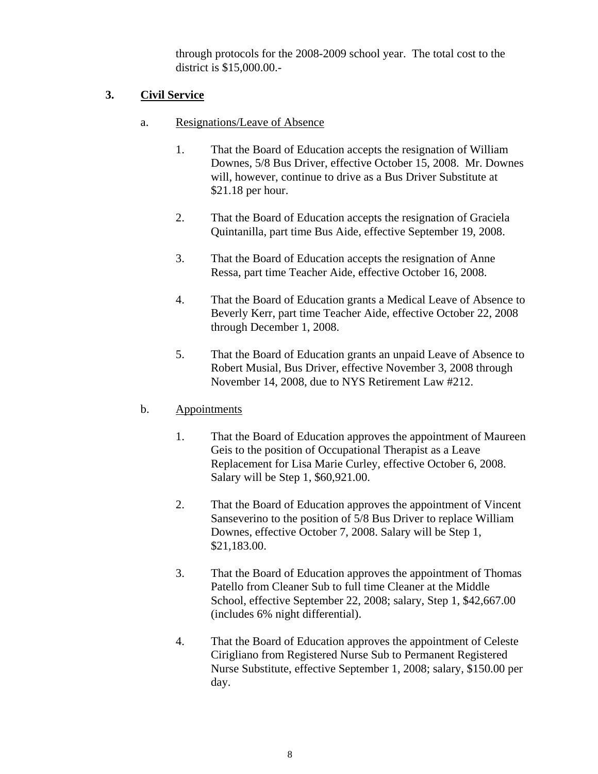through protocols for the 2008-2009 school year. The total cost to the district is \$15,000.00.-

# **3. Civil Service**

- a. Resignations/Leave of Absence
	- 1. That the Board of Education accepts the resignation of William Downes, 5/8 Bus Driver, effective October 15, 2008. Mr. Downes will, however, continue to drive as a Bus Driver Substitute at \$21.18 per hour.
	- 2. That the Board of Education accepts the resignation of Graciela Quintanilla, part time Bus Aide, effective September 19, 2008.
	- 3. That the Board of Education accepts the resignation of Anne Ressa, part time Teacher Aide, effective October 16, 2008.
	- 4. That the Board of Education grants a Medical Leave of Absence to Beverly Kerr, part time Teacher Aide, effective October 22, 2008 through December 1, 2008.
	- 5. That the Board of Education grants an unpaid Leave of Absence to Robert Musial, Bus Driver, effective November 3, 2008 through November 14, 2008, due to NYS Retirement Law #212.

# b. Appointments

- 1. That the Board of Education approves the appointment of Maureen Geis to the position of Occupational Therapist as a Leave Replacement for Lisa Marie Curley, effective October 6, 2008. Salary will be Step 1, \$60,921.00.
- 2. That the Board of Education approves the appointment of Vincent Sanseverino to the position of 5/8 Bus Driver to replace William Downes, effective October 7, 2008. Salary will be Step 1, \$21,183.00.
- 3. That the Board of Education approves the appointment of Thomas Patello from Cleaner Sub to full time Cleaner at the Middle School, effective September 22, 2008; salary, Step 1, \$42,667.00 (includes 6% night differential).
- 4. That the Board of Education approves the appointment of Celeste Cirigliano from Registered Nurse Sub to Permanent Registered Nurse Substitute, effective September 1, 2008; salary, \$150.00 per day.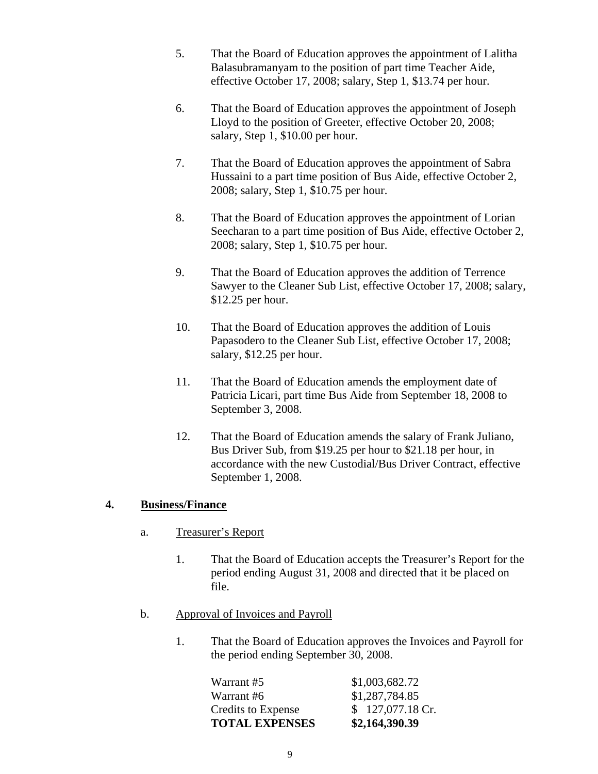- 5. That the Board of Education approves the appointment of Lalitha Balasubramanyam to the position of part time Teacher Aide, effective October 17, 2008; salary, Step 1, \$13.74 per hour.
- 6. That the Board of Education approves the appointment of Joseph Lloyd to the position of Greeter, effective October 20, 2008; salary, Step 1, \$10.00 per hour.
- 7. That the Board of Education approves the appointment of Sabra Hussaini to a part time position of Bus Aide, effective October 2, 2008; salary, Step 1, \$10.75 per hour.
- 8. That the Board of Education approves the appointment of Lorian Seecharan to a part time position of Bus Aide, effective October 2, 2008; salary, Step 1, \$10.75 per hour.
- 9. That the Board of Education approves the addition of Terrence Sawyer to the Cleaner Sub List, effective October 17, 2008; salary, \$12.25 per hour.
- 10. That the Board of Education approves the addition of Louis Papasodero to the Cleaner Sub List, effective October 17, 2008; salary, \$12.25 per hour.
- 11. That the Board of Education amends the employment date of Patricia Licari, part time Bus Aide from September 18, 2008 to September 3, 2008.
- 12. That the Board of Education amends the salary of Frank Juliano, Bus Driver Sub, from \$19.25 per hour to \$21.18 per hour, in accordance with the new Custodial/Bus Driver Contract, effective September 1, 2008.

# **4. Business/Finance**

- a. Treasurer's Report
	- 1. That the Board of Education accepts the Treasurer's Report for the period ending August 31, 2008 and directed that it be placed on file.
- b. Approval of Invoices and Payroll
	- 1. That the Board of Education approves the Invoices and Payroll for the period ending September 30, 2008.

| <b>TOTAL EXPENSES</b> | \$2,164,390.39    |
|-----------------------|-------------------|
| Credits to Expense    | $$127,077.18$ Cr. |
| Warrant #6            | \$1,287,784.85    |
| Warrant #5            | \$1,003,682.72    |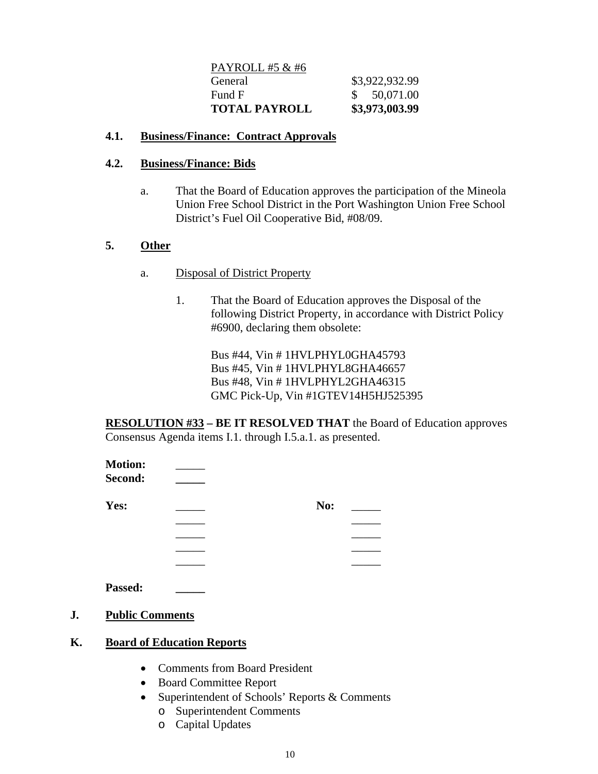| PAYROLL #5 & #6      |                |
|----------------------|----------------|
| General              | \$3,922,932.99 |
| Fund F               | \$50,071.00    |
| <b>TOTAL PAYROLL</b> | \$3,973,003.99 |

## **4.1. Business/Finance: Contract Approvals**

## **4.2. Business/Finance: Bids**

a. That the Board of Education approves the participation of the Mineola Union Free School District in the Port Washington Union Free School District's Fuel Oil Cooperative Bid, #08/09.

# **5. Other**

- a. Disposal of District Property
	- 1. That the Board of Education approves the Disposal of the following District Property, in accordance with District Policy #6900, declaring them obsolete:

Bus #44, Vin # 1HVLPHYL0GHA45793 Bus #45, Vin # 1HVLPHYL8GHA46657 Bus #48, Vin # 1HVLPHYL2GHA46315 GMC Pick-Up, Vin #1GTEV14H5HJ525395

**RESOLUTION #33 – BE IT RESOLVED THAT** the Board of Education approves Consensus Agenda items I.1. through I.5.a.1. as presented.

| <b>Motion:</b><br>Second: |     |  |
|---------------------------|-----|--|
| Yes:                      | No: |  |
|                           |     |  |
|                           |     |  |
|                           |     |  |
|                           |     |  |
| Passed:                   |     |  |

**J. Public Comments**

# **K. Board of Education Reports**

- Comments from Board President
- Board Committee Report
- Superintendent of Schools' Reports & Comments
	- o Superintendent Comments
	- o Capital Updates